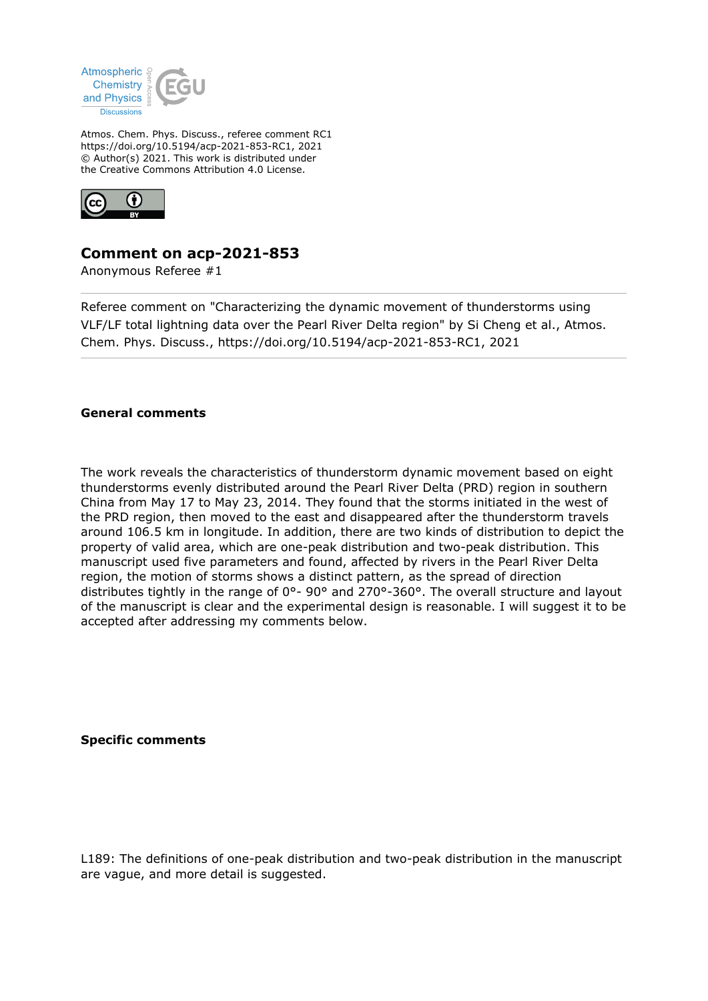

Atmos. Chem. Phys. Discuss., referee comment RC1 https://doi.org/10.5194/acp-2021-853-RC1, 2021 © Author(s) 2021. This work is distributed under the Creative Commons Attribution 4.0 License.



## **Comment on acp-2021-853**

Anonymous Referee #1

Referee comment on "Characterizing the dynamic movement of thunderstorms using VLF/LF total lightning data over the Pearl River Delta region" by Si Cheng et al., Atmos. Chem. Phys. Discuss., https://doi.org/10.5194/acp-2021-853-RC1, 2021

## **General comments**

The work reveals the characteristics of thunderstorm dynamic movement based on eight thunderstorms evenly distributed around the Pearl River Delta (PRD) region in southern China from May 17 to May 23, 2014. They found that the storms initiated in the west of the PRD region, then moved to the east and disappeared after the thunderstorm travels around 106.5 km in longitude. In addition, there are two kinds of distribution to depict the property of valid area, which are one-peak distribution and two-peak distribution. This manuscript used five parameters and found, affected by rivers in the Pearl River Delta region, the motion of storms shows a distinct pattern, as the spread of direction distributes tightly in the range of 0°- 90° and 270°-360°. The overall structure and layout of the manuscript is clear and the experimental design is reasonable. I will suggest it to be accepted after addressing my comments below.

**Specific comments**

L189: The definitions of one-peak distribution and two-peak distribution in the manuscript are vague, and more detail is suggested.